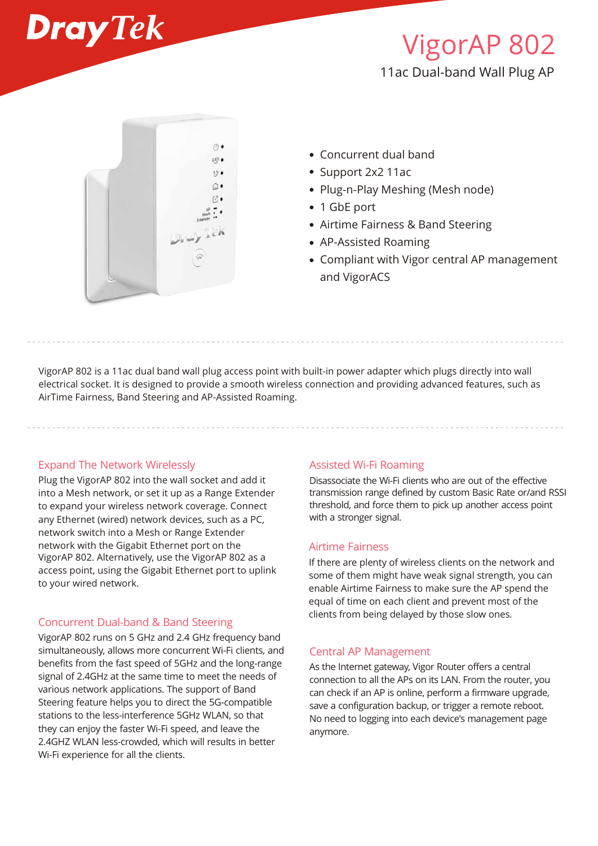

# VigorAP 802 11ac Dual-band Wall Plug AP



- Concurrent dual band
- Support 2x2 11ac
- Plug-n-Play Meshing (Mesh node)
- 1 GbE port
- Airtime Fairness & Band Steering
- AP-Assisted Roaming
- Compliant with Vigor central AP management and VigorACS

VigorAP 802 is a 11ac dual band wall plug access point with built-in power adapter which plugs directly into wall electrical socket. It is designed to provide a smooth wireless connection and providing advanced features, such as AirTime Fairness, Band Steering and AP-Assisted Roaming.

#### Expand The Network Wirelessly

Plug the VigorAP 802 into the wall socket and add it into a Mesh network, or set it up as a Range Extender to expand your wireless network coverage. Connect any Ethernet (wired) network devices, such as a PC, network switch into a Mesh or Range Extender network with the Gigabit Ethernet port on the VigorAP 802. Alternatively, use the VigorAP 802 as a access point, using the Gigabit Ethernet port to uplink to your wired network.

## Concurrent Dual-band & Band Steering

VigorAP 802 runs on 5 GHz and 2.4 GHz frequency band simultaneously, allows more concurrent Wi-Fi clients, and benefits from the fast speed of 5GHz and the long-range signal of 2.4GHz at the same time to meet the needs of various network applications. The support of Band Steering feature helps you to direct the 5G-compatible stations to the less-interference 5GHz WLAN, so that they can enjoy the faster Wi-Fi speed, and leave the 2.4GHZ WLAN less-crowded, which will results in better Wi-Fi experience for all the clients.

#### Assisted Wi-Fi Roaming

Disassociate the Wi-Fi clients who are out of the effective transmission range defined by custom Basic Rate or/and RSSI threshold, and force them to pick up another access point with a stronger signal.

### Airtime Fairness

If there are plenty of wireless clients on the network and some of them might have weak signal strength, you can enable Airtime Fairness to make sure the AP spend the equal of time on each client and prevent most of the clients from being delayed by those slow ones.

#### Central AP Management

As the Internet gateway, Vigor Router offers a central connection to all the APs on its LAN. From the router, you can check if an AP is online, perform a firmware upgrade, save a configuration backup, or trigger a remote reboot. No need to logging into each device's management page anymore.